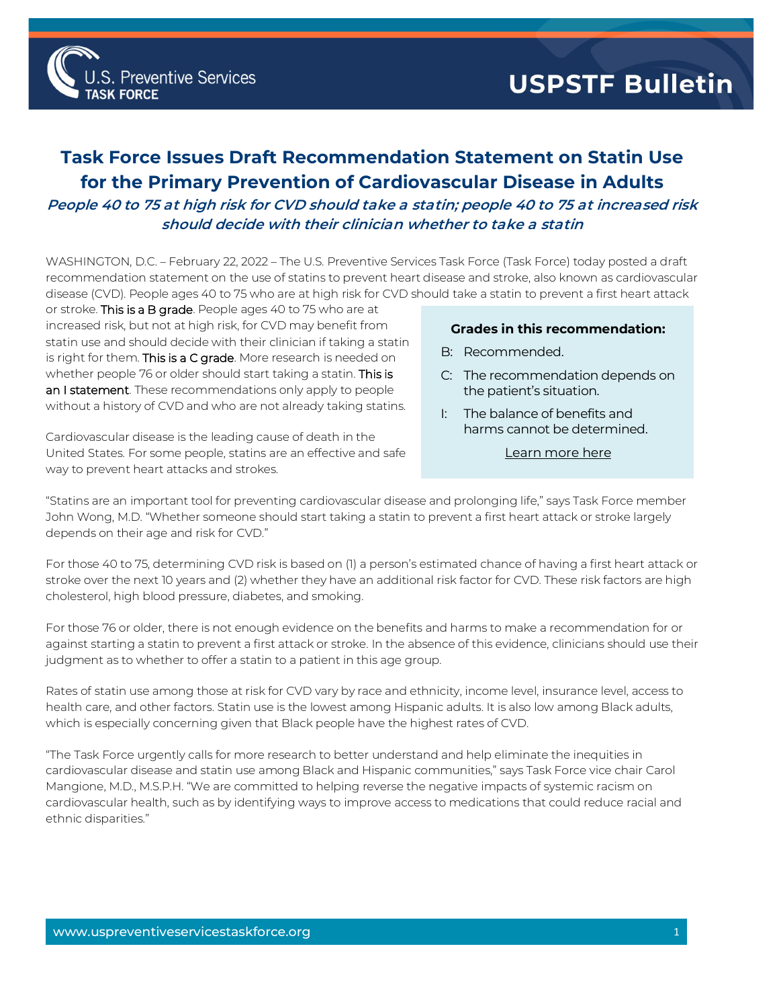

## **Task Force Issues Draft Recommendation Statement on Statin Use for the Primary Prevention of Cardiovascular Disease in Adults**

**People 40 to 75 at high risk for CVD should take a statin; people 40 to 75 at increased risk should decide with their clinician whether to take a statin**

WASHINGTON, D.C. – February 22, 2022 – The U.S. Preventive Services Task Force (Task Force) today posted a draft recommendation statement on the use of statins to prevent heart disease and stroke, also known as cardiovascular disease (CVD). People ages 40 to 75 who are at high risk for CVD should take a statin to prevent a first heart attack

or stroke. This is a B grade. People ages 40 to 75 who are at increased risk, but not at high risk, for CVD may benefit from statin use and should decide with their clinician if taking a statin is right for them. This is a C grade. More research is needed on whether people 76 or older should start taking a statin. This is an I statement. These recommendations only apply to people without a history of CVD and who are not already taking statins.

**Preventive Services** 

Cardiovascular disease is the leading cause of death in the United States. For some people, statins are an effective and safe way to prevent heart attacks and strokes.

## **Grades in this recommendation:**

- B: Recommended.
- C: The recommendation depends on the patient's situation.
- I: The balance of benefits and harms cannot be determined.
	- [Learn more here](http://www.uspreventiveservicestaskforce.org/Page/Name/grade-definitions)

"Statins are an important tool for preventing cardiovascular disease and prolonging life," says Task Force member John Wong, M.D. "Whether someone should start taking a statin to prevent a first heart attack or stroke largely depends on their age and risk for CVD."

For those 40 to 75, determining CVD risk is based on (1) a person's estimated chance of having a first heart attack or stroke over the next 10 years and (2) whether they have an additional risk factor for CVD. These risk factors are high cholesterol, high blood pressure, diabetes, and smoking.

For those 76 or older, there is not enough evidence on the benefits and harms to make a recommendation for or against starting a statin to prevent a first attack or stroke. In the absence of this evidence, clinicians should use their judgment as to whether to offer a statin to a patient in this age group.

Rates of statin use among those at risk for CVD vary by race and ethnicity, income level, insurance level, access to health care, and other factors. Statin use is the lowest among Hispanic adults. It is also low among Black adults, which is especially concerning given that Black people have the highest rates of CVD.

"The Task Force urgently calls for more research to better understand and help eliminate the inequities in cardiovascular disease and statin use among Black and Hispanic communities," says Task Force vice chair Carol Mangione, M.D., M.S.P.H. "We are committed to helping reverse the negative impacts of systemic racism on cardiovascular health, such as by identifying ways to improve access to medications that could reduce racial and ethnic disparities."